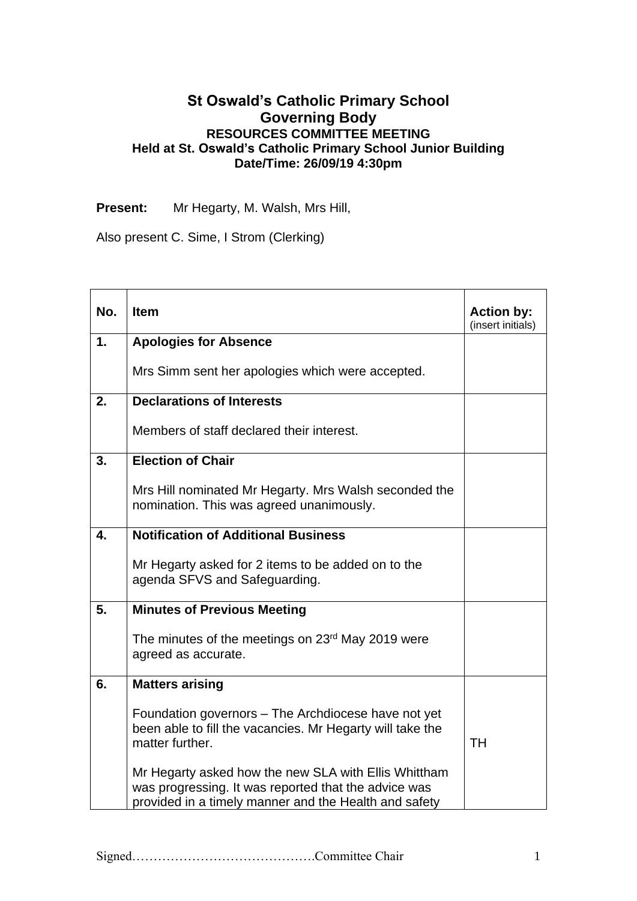## **St Oswald's Catholic Primary School Governing Body RESOURCES COMMITTEE MEETING Held at St. Oswald's Catholic Primary School Junior Building Date/Time: 26/09/19 4:30pm**

**Present:** Mr Hegarty, M. Walsh, Mrs Hill,

Also present C. Sime, I Strom (Clerking)

| No. | <b>Item</b>                                                                                                                                                           | <b>Action by:</b><br>(insert initials) |
|-----|-----------------------------------------------------------------------------------------------------------------------------------------------------------------------|----------------------------------------|
| 1.  | <b>Apologies for Absence</b>                                                                                                                                          |                                        |
|     | Mrs Simm sent her apologies which were accepted.                                                                                                                      |                                        |
| 2.  | <b>Declarations of Interests</b>                                                                                                                                      |                                        |
|     | Members of staff declared their interest.                                                                                                                             |                                        |
| 3.  | <b>Election of Chair</b>                                                                                                                                              |                                        |
|     | Mrs Hill nominated Mr Hegarty. Mrs Walsh seconded the<br>nomination. This was agreed unanimously.                                                                     |                                        |
| 4.  | <b>Notification of Additional Business</b>                                                                                                                            |                                        |
|     | Mr Hegarty asked for 2 items to be added on to the<br>agenda SFVS and Safeguarding.                                                                                   |                                        |
| 5.  | <b>Minutes of Previous Meeting</b>                                                                                                                                    |                                        |
|     | The minutes of the meetings on 23 <sup>rd</sup> May 2019 were<br>agreed as accurate.                                                                                  |                                        |
| 6.  | <b>Matters arising</b>                                                                                                                                                |                                        |
|     | Foundation governors - The Archdiocese have not yet<br>been able to fill the vacancies. Mr Hegarty will take the<br>matter further.                                   | <b>TH</b>                              |
|     | Mr Hegarty asked how the new SLA with Ellis Whittham<br>was progressing. It was reported that the advice was<br>provided in a timely manner and the Health and safety |                                        |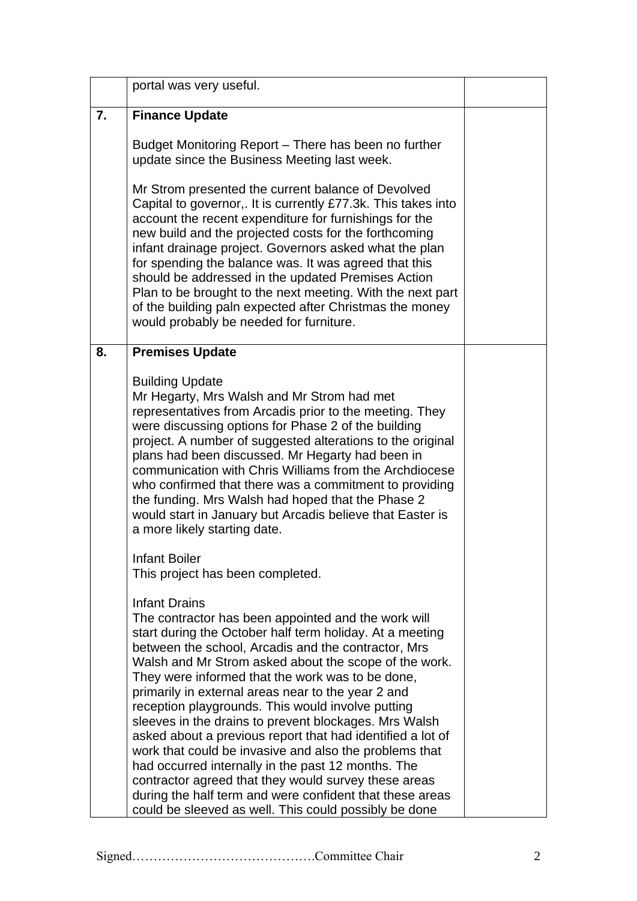|    | portal was very useful.                                                                                                                                                                                                                                                                                                                                                                                                                                                                                                                                                                                                                                                                                                                                                                                                                    |  |
|----|--------------------------------------------------------------------------------------------------------------------------------------------------------------------------------------------------------------------------------------------------------------------------------------------------------------------------------------------------------------------------------------------------------------------------------------------------------------------------------------------------------------------------------------------------------------------------------------------------------------------------------------------------------------------------------------------------------------------------------------------------------------------------------------------------------------------------------------------|--|
| 7. | <b>Finance Update</b>                                                                                                                                                                                                                                                                                                                                                                                                                                                                                                                                                                                                                                                                                                                                                                                                                      |  |
|    | Budget Monitoring Report - There has been no further<br>update since the Business Meeting last week.                                                                                                                                                                                                                                                                                                                                                                                                                                                                                                                                                                                                                                                                                                                                       |  |
|    | Mr Strom presented the current balance of Devolved<br>Capital to governor,. It is currently £77.3k. This takes into<br>account the recent expenditure for furnishings for the<br>new build and the projected costs for the forthcoming<br>infant drainage project. Governors asked what the plan<br>for spending the balance was. It was agreed that this<br>should be addressed in the updated Premises Action<br>Plan to be brought to the next meeting. With the next part<br>of the building paln expected after Christmas the money<br>would probably be needed for furniture.                                                                                                                                                                                                                                                        |  |
| 8. | <b>Premises Update</b>                                                                                                                                                                                                                                                                                                                                                                                                                                                                                                                                                                                                                                                                                                                                                                                                                     |  |
|    | <b>Building Update</b><br>Mr Hegarty, Mrs Walsh and Mr Strom had met<br>representatives from Arcadis prior to the meeting. They<br>were discussing options for Phase 2 of the building<br>project. A number of suggested alterations to the original<br>plans had been discussed. Mr Hegarty had been in<br>communication with Chris Williams from the Archdiocese<br>who confirmed that there was a commitment to providing<br>the funding. Mrs Walsh had hoped that the Phase 2<br>would start in January but Arcadis believe that Easter is<br>a more likely starting date.                                                                                                                                                                                                                                                             |  |
|    | <b>Infant Boiler</b><br>This project has been completed.                                                                                                                                                                                                                                                                                                                                                                                                                                                                                                                                                                                                                                                                                                                                                                                   |  |
|    | <b>Infant Drains</b><br>The contractor has been appointed and the work will<br>start during the October half term holiday. At a meeting<br>between the school, Arcadis and the contractor, Mrs<br>Walsh and Mr Strom asked about the scope of the work.<br>They were informed that the work was to be done,<br>primarily in external areas near to the year 2 and<br>reception playgrounds. This would involve putting<br>sleeves in the drains to prevent blockages. Mrs Walsh<br>asked about a previous report that had identified a lot of<br>work that could be invasive and also the problems that<br>had occurred internally in the past 12 months. The<br>contractor agreed that they would survey these areas<br>during the half term and were confident that these areas<br>could be sleeved as well. This could possibly be done |  |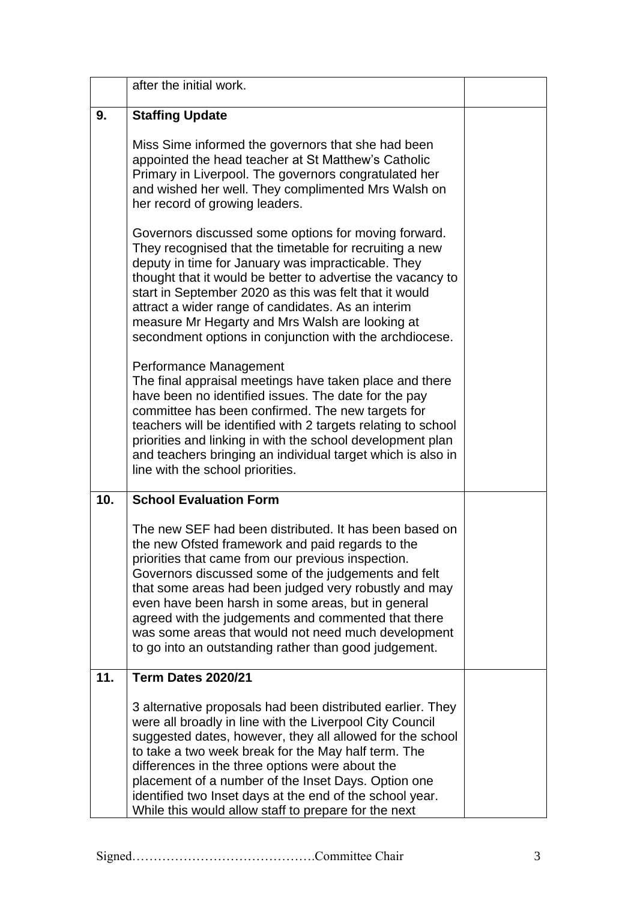|     | after the initial work.                                                                                                                                                                                                                                                                                                                                                                                                                                                                                       |  |
|-----|---------------------------------------------------------------------------------------------------------------------------------------------------------------------------------------------------------------------------------------------------------------------------------------------------------------------------------------------------------------------------------------------------------------------------------------------------------------------------------------------------------------|--|
| 9.  | <b>Staffing Update</b>                                                                                                                                                                                                                                                                                                                                                                                                                                                                                        |  |
|     | Miss Sime informed the governors that she had been<br>appointed the head teacher at St Matthew's Catholic<br>Primary in Liverpool. The governors congratulated her<br>and wished her well. They complimented Mrs Walsh on<br>her record of growing leaders.                                                                                                                                                                                                                                                   |  |
|     | Governors discussed some options for moving forward.<br>They recognised that the timetable for recruiting a new<br>deputy in time for January was impracticable. They<br>thought that it would be better to advertise the vacancy to<br>start in September 2020 as this was felt that it would<br>attract a wider range of candidates. As an interim<br>measure Mr Hegarty and Mrs Walsh are looking at<br>secondment options in conjunction with the archdiocese.                                            |  |
|     | Performance Management<br>The final appraisal meetings have taken place and there<br>have been no identified issues. The date for the pay<br>committee has been confirmed. The new targets for<br>teachers will be identified with 2 targets relating to school<br>priorities and linking in with the school development plan<br>and teachers bringing an individual target which is also in<br>line with the school priorities.                                                                              |  |
| 10. | <b>School Evaluation Form</b>                                                                                                                                                                                                                                                                                                                                                                                                                                                                                 |  |
|     | The new SEF had been distributed. It has been based on<br>the new Ofsted framework and paid regards to the<br>priorities that came from our previous inspection.<br>Governors discussed some of the judgements and felt<br>that some areas had been judged very robustly and may<br>even have been harsh in some areas, but in general<br>agreed with the judgements and commented that there<br>was some areas that would not need much development<br>to go into an outstanding rather than good judgement. |  |
| 11. | <b>Term Dates 2020/21</b>                                                                                                                                                                                                                                                                                                                                                                                                                                                                                     |  |
|     | 3 alternative proposals had been distributed earlier. They<br>were all broadly in line with the Liverpool City Council<br>suggested dates, however, they all allowed for the school<br>to take a two week break for the May half term. The<br>differences in the three options were about the<br>placement of a number of the Inset Days. Option one<br>identified two Inset days at the end of the school year.<br>While this would allow staff to prepare for the next                                      |  |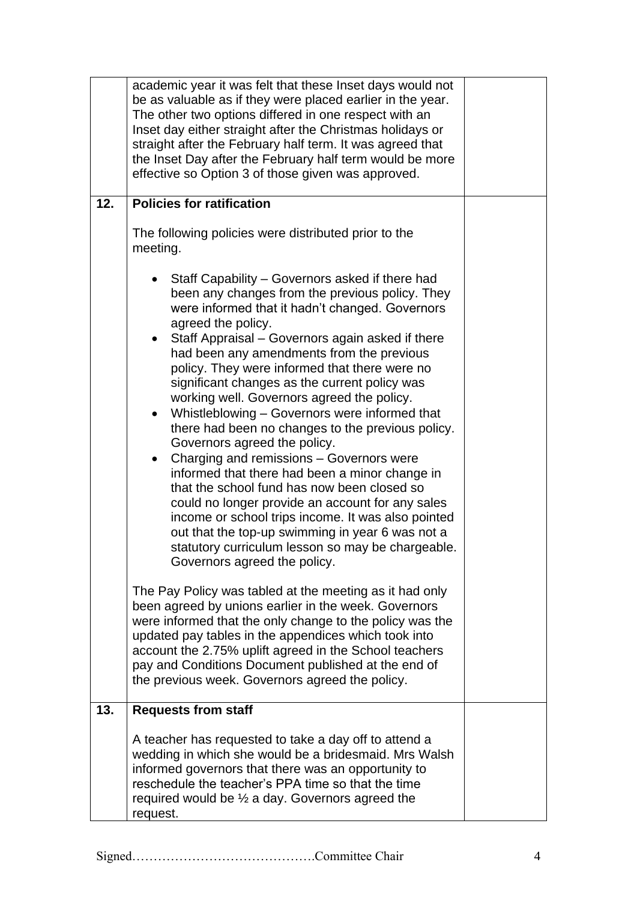|     | academic year it was felt that these Inset days would not<br>be as valuable as if they were placed earlier in the year.<br>The other two options differed in one respect with an<br>Inset day either straight after the Christmas holidays or<br>straight after the February half term. It was agreed that<br>the Inset Day after the February half term would be more<br>effective so Option 3 of those given was approved.                                                                                                                                                                                                                                                                                                                                                                                                                                                                                                                                                                 |  |
|-----|----------------------------------------------------------------------------------------------------------------------------------------------------------------------------------------------------------------------------------------------------------------------------------------------------------------------------------------------------------------------------------------------------------------------------------------------------------------------------------------------------------------------------------------------------------------------------------------------------------------------------------------------------------------------------------------------------------------------------------------------------------------------------------------------------------------------------------------------------------------------------------------------------------------------------------------------------------------------------------------------|--|
| 12. | <b>Policies for ratification</b>                                                                                                                                                                                                                                                                                                                                                                                                                                                                                                                                                                                                                                                                                                                                                                                                                                                                                                                                                             |  |
|     | The following policies were distributed prior to the<br>meeting.                                                                                                                                                                                                                                                                                                                                                                                                                                                                                                                                                                                                                                                                                                                                                                                                                                                                                                                             |  |
|     | Staff Capability – Governors asked if there had<br>been any changes from the previous policy. They<br>were informed that it hadn't changed. Governors<br>agreed the policy.<br>Staff Appraisal - Governors again asked if there<br>had been any amendments from the previous<br>policy. They were informed that there were no<br>significant changes as the current policy was<br>working well. Governors agreed the policy.<br>Whistleblowing - Governors were informed that<br>$\bullet$<br>there had been no changes to the previous policy.<br>Governors agreed the policy.<br>Charging and remissions - Governors were<br>$\bullet$<br>informed that there had been a minor change in<br>that the school fund has now been closed so<br>could no longer provide an account for any sales<br>income or school trips income. It was also pointed<br>out that the top-up swimming in year 6 was not a<br>statutory curriculum lesson so may be chargeable.<br>Governors agreed the policy. |  |
|     | The Pay Policy was tabled at the meeting as it had only<br>been agreed by unions earlier in the week. Governors<br>were informed that the only change to the policy was the<br>updated pay tables in the appendices which took into<br>account the 2.75% uplift agreed in the School teachers<br>pay and Conditions Document published at the end of<br>the previous week. Governors agreed the policy.                                                                                                                                                                                                                                                                                                                                                                                                                                                                                                                                                                                      |  |
| 13. | <b>Requests from staff</b>                                                                                                                                                                                                                                                                                                                                                                                                                                                                                                                                                                                                                                                                                                                                                                                                                                                                                                                                                                   |  |
|     | A teacher has requested to take a day off to attend a<br>wedding in which she would be a bridesmaid. Mrs Walsh<br>informed governors that there was an opportunity to<br>reschedule the teacher's PPA time so that the time<br>required would be $\frac{1}{2}$ a day. Governors agreed the<br>request.                                                                                                                                                                                                                                                                                                                                                                                                                                                                                                                                                                                                                                                                                       |  |